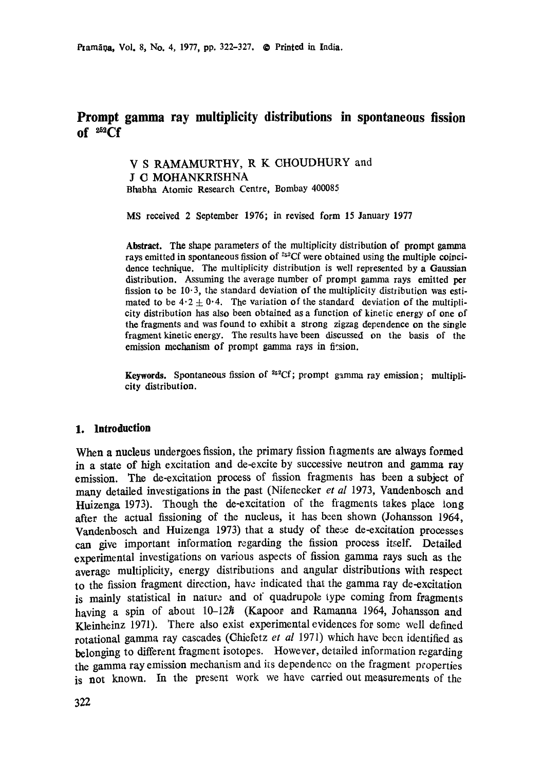# **Prompt gamma ray multiplicity distributions in spontaneous fission**   $of ~^{252}CF$

V S RAMAMURTHY, R K CHOUDHURY and J **G MOHANKRISHNA** Bhabha Atomic Research Centre, Bombay 400085

MS received 2 September 1976; in revised form 15 January 1977

**Abstract.** The shape parameters of the multiplicity distribution of prompt gamma rays emitted in spontaneous fission of  $252Cf$  were obtained using the multiple coincidence technique. The multiplicity distribution is well represented by a Gaussian distribution. Assuming the average number of prompt gamma rays emitted per fission to be  $10-3$ , the standard deviation of the multiplicity distribution was estimated to be  $4.2 \pm 0.4$ . The variation of the standard deviation of the multiplicity distribution has also been obtained as a function of kinetic energy of one of **the** fragments and was found to exhibit a strong zigzag dependence on the single fragment kinetic energy. The results have been discussed on the basis of the emission mechanism of prompt gamma rays in firsion.

**Keywords.** Spontaneous fission of  ${}^{252}Cf$ ; prompt gamma ray emission; multiplicity **distribution.** 

## **1. Introduction**

When a nucleus undergoes fission, the primary fission fiagments are always formed in a state of high excitation and de-excite by successive neutron and gamma **ray**  emission. The de-excitation process of fission fragments has been a subject of many detailed investigations in the past (Niienecker *et al* 1973, Vaadenbosch and Huizenga 1973). Though the de-excitation of the fragments takes place iong after the actual fissioning of the nucleus, it has been shown (Johansson 1964, Vandenbosch and Huizenga 1973) that a study of these de-excitation processes can give important information regarding the fission process itself. Detailed experimental investigations on various aspects of fission gamma rays such as the average multiplicity, energy distributions and angular distributions with respect to the fission fragment direction, have indicated that the gamma ray de-excitation is mainly statistical in nature and of quadrupole type coming from fragments having a spin of about  $10-12\hbar$  (Kapoor and Ramanna 1964, Johansson and Kleinheinz 1971). There also exist experimental evidences for some well defined rotational gamma ray cascades (Chiefetz et al 1971) which have been identified as belonging to different fragment isotopes. However, detailed information regarding the gamma ray emission mechanism and its dependence on the fragment properties is not known. In the present work we have carried out measurements of the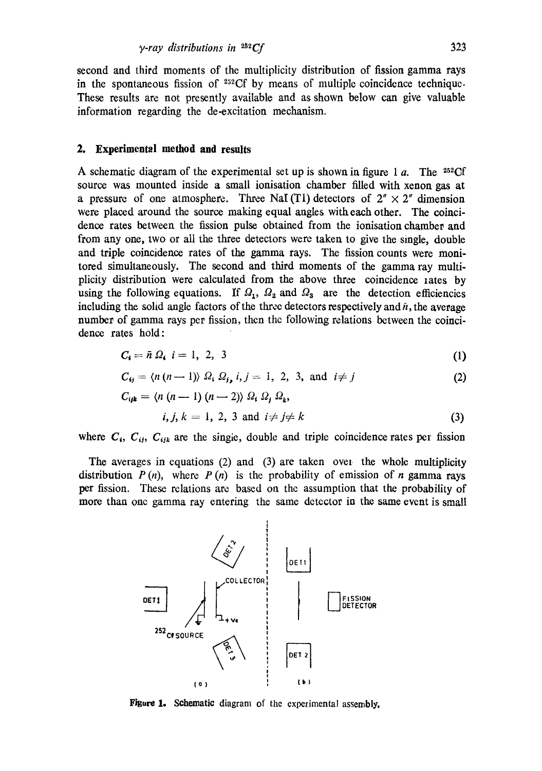second and third moments of the multiplicity distribution of fission gamma rays in the spontaneous fission of  $^{252}$ Cf by means of multiple coincidence technique. These results are not presently available and as shown below can give valuable information regarding the de-excitation mechanism.

#### **2. Experimental method and results**

A schematic diagram of the experimental set up is shown in figure 1 a. The <sup>252</sup>Cf source was mounted inside a small ionisation chamber filled with xenon gas at a pressure of one atmosphere. Three NaI (T1) detectors of  $2'' \times 2''$  dimension were placed around the source making equal angles with each other. The coincidence rates between the fission pulse obtained from the ionisation chamber and from any one, two or all the three detectors were taken to give the single, double and triple coincidence rates of the gamma rays. The fission counts were monitored simultaneously. The second and third moments of the gamma ray multiplicity distribution were calculated from the above three coincidence rates by using the following equations. If  $\Omega_1$ ,  $\Omega_2$  and  $\Omega_3$  are the detection efficiencies including the solid angle factors of the three detectors respectively and  $\bar{n}$ , the average number of gamma rays per fission, then the following relations between the coincidence rates hold:

$$
C_i = \bar{n} \Omega_i \quad i = 1, \ 2, \ 3 \tag{1}
$$

$$
C_{ij} = \langle n(n-1) \rangle \Omega_i \Omega_{j_2} i, j = 1, 2, 3, \text{ and } i \neq j \tag{2}
$$

$$
C_{ijk} = \langle n (n-1) (n-2) \rangle \Omega_i \Omega_j \Omega_k,
$$
  
*i*, *j*, *k* = 1, 2, 3 and *i*  $\neq$  *j*  $\neq$  *k* (3)

where  $C_i$ ,  $C_{ij}$ ,  $C_{ijk}$  are the single, double and triple coincidence rates per fission

The averages in equations (2) and (3) are taken ovel the whole multiplicity distribution  $P(n)$ , where  $P(n)$  is the probability of emission of *n* gamma rays per fission. These relations are based on the assumption that the probability of more than one gamma ray entering the same detector in the same event is small



Figure 1. Schematic diagram of the experimental assembly.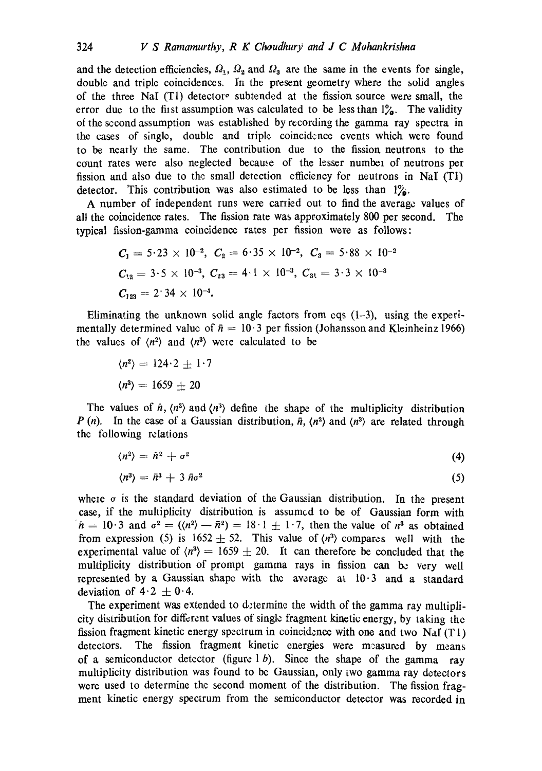and the detection efficiencies,  $\Omega_1$ ,  $\Omega_2$  and  $\Omega_3$  are the same in the events for single, double and triple coincidences. In the present geometry where the solid angles of the three NaI (T1) detector° subtended at the fission source were small, the error due to the first assumption was calculated to be less than  $1\%$ . The validity of the second assumption was established by recording the gamma ray spectra in the cases of single, double and triple coincidence events which were found to be neatly the same. The contribution due to the fission neutrons to the count rates were also neglected because of the lesser number of neutrons per fission and also due to the small detection efficiency for neutrons in NaI (T1) detector. This contribution was also estimated to be less than  $1\%$ .

A number of independent runs were carried out to find the average values of all the coincidence rates. The fission rate was approximately 800 per second. The typical fission-gamma coincidence rates per fission were as follows:

$$
C_1 = 5.23 \times 10^{-2}, C_2 = 6.35 \times 10^{-2}, C_3 = 5.88 \times 10^{-2}
$$
  
\n
$$
C_{12} = 3.5 \times 10^{-3}, C_{23} = 4.1 \times 10^{-3}, C_{31} = 3.3 \times 10^{-3}
$$
  
\n
$$
C_{123} = 2.34 \times 10^{-4}.
$$

Eliminating the unknown solid angle factors from eqs  $(1-3)$ , using the experimentally determined value of  $\bar{n} = 10.3$  per fission (Johansson and Kleinheinz 1966) the values of  $\langle n^2 \rangle$  and  $\langle n^3 \rangle$  were calculated to be

$$
\langle n^2 \rangle = 124.2 \pm 1.7
$$

$$
\langle n^3 \rangle = 1659 \pm 20
$$

The values of  $\hat{n}$ ,  $\langle n^2 \rangle$  and  $\langle n^3 \rangle$  define the shape of the multiplicity distribution P (n). In the case of a Gaussian distribution,  $\bar{n}$ ,  $\langle n^2 \rangle$  and  $\langle n^3 \rangle$  are related through the following relations

$$
\langle n^2 \rangle = \tilde{n}^2 + \sigma^2 \tag{4}
$$

$$
\langle n^3 \rangle = \bar{n}^3 + 3 \bar{n} \sigma^2 \tag{5}
$$

where  $\sigma$  is the standard deviation of the Gaussian distribution. In the present case, if the multiplicity distribution is assumed to be of Gaussian form with  $\bar{n} = 10 \cdot 3$  and  $\sigma^2 = (\langle n^2 \rangle - \bar{n}^2) = 18 \cdot 1 + 1 \cdot 7$ , then the value of  $n^3$  as obtained from expression (5) is  $1652 \pm 52$ . This value of  $\langle n^3 \rangle$  compares well with the experimental value of  $\langle n^3 \rangle = 1659 \pm 20$ . It can therefore be concluded that the multiplicity distribution of prompt gamma rays in fission can be very well represented by a Gaussian shape with the average at  $10.3$  and a standard deviation of  $4 \cdot 2 \pm 0 \cdot 4$ .

The experiment was extended to determine the width of the gamma ray multiplicity distribution for different values of single fragment kinetic energy, by taking the fission fragment kinetic energy spectrum in coincidence with one and two NaI  $(T1)$ detectors. The fission fragment kinetic energies were measured by means of a semiconductor detector (figure  $1 b$ ). Since the shape of the gamma ray multiplicity distribution was found to be Gaussian, only two gamma ray detectors were used to determine the second moment of the distribution. The fission fragment kinetic energy spectrum from the semiconductor detector was recorded in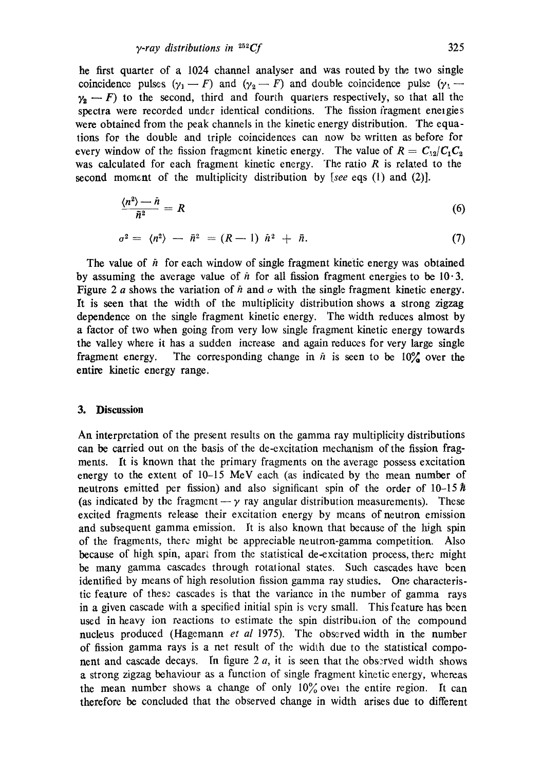he first quarter of a 1024 channel analyser and was routed by the two single coincidence pulses  $(\gamma_1 - F)$  and  $(\gamma_2 - F)$  and double coincidence pulse  $(\gamma_1 - F)$  $\gamma_2$  – F) to the second, third and fourth quarters respectively, so that all the spectra were recorded under identical conditions. The fission fragment energies were obtained from the peak channels in the kinetic energy distribution. The equations for the double and triple coincidences can now be written as before for every window of the fission fragment kinetic energy. The value of  $R = C_{12}/C_1C_2$ was calculated for each fragment kinetic energy. The ratio  $R$  is related to the second moment of the multiplicity distribution by *[see* eqs (1) and (2)].

$$
\frac{\langle n^2 \rangle - \bar{n}}{\bar{n}^2} = R \tag{6}
$$

$$
\sigma^2 = \langle n^2 \rangle - \bar{n}^2 = (R-1) \bar{n}^2 + \bar{n}.
$$
 (7)

The value of  $\ddot{n}$  for each window of single fragment kinetic energy was obtained by assuming the average value of  $\bar{n}$  for all fission fragment energies to be 10.3. Figure 2 a shows the variation of  $\ddot{n}$  and  $\sigma$  with the single fragment kinetic energy. It is seen that the width of the multiplicity distribution shows a strong zigzag dependence on the single fragment kinetic energy. The width reduces almost by a factor of two when going from very low single fragment kinetic energy towards the valley where it has a sudden increase and again reduces for very large single fragment energy. The corresponding change in  $\bar{n}$  is seen to be  $10\%$  over the entire kinetic energy range.

## **3. Discussion**

An interpretation of the present results on the gamma ray multiplicity distributions can be carried out on the basis of the de-excitation mechanism of the fission fragments. It is known that the primary fragments on the average possess excitation energy to the extent of 10-15 MeV each (as indicated by the mean number of neutrons emitted per fission) and also significant spin of the order of  $10-15\hbar$ (as indicated by the fragment  $-\gamma$  ray angular distribution measurements). These excited fragments release their excitation energy by mcans of neutron emission and subsequent gamma emission. It is also known that because of the high spin of the fragments, there might be appreciable neutron-gamma competition. Also because of high spin, apart from the statistical de-excitation process, there might be many gamma cascades through rotational states. Such cascades have been identified by means of high resolution fission gamma ray studies. One characteristic feature of these cascades is that the variance in the number of gamma rays in a given cascade with a specified initial spin is very small. This feature has been used in heavy ion reactions to estimate the spin distribution of the compound nucleus produced (Hagemann *et al* 1975). The observed width in the number of fission gamma rays is a net result of the widlh due to the statistical component and cascade decays. In figure 2  $a$ , it is seen that the observed width shows a strong zigzag behaviour as a function of single fragment kinetic energy, whereas the mean number shows a change of only  $10\%$  over the entire region. It can therefore be concluded that the observed change in width arises due to different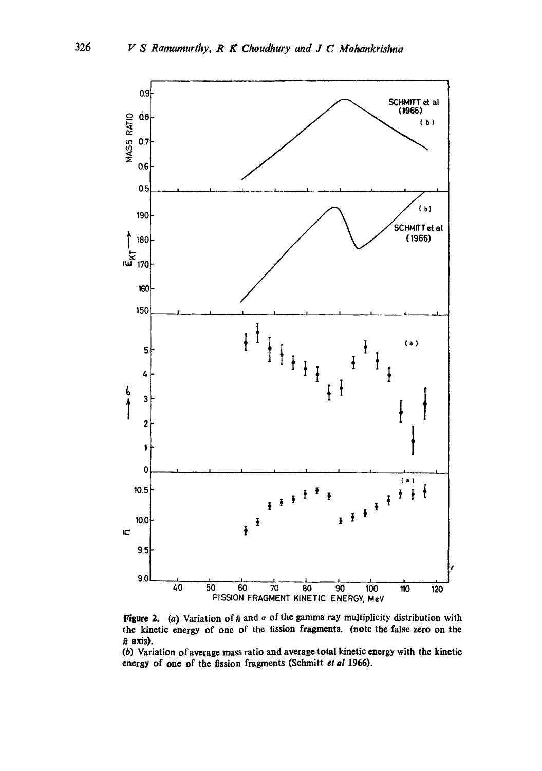

Figure 2. (a) Variation of  $\bar{n}$  and  $\sigma$  of the gamma ray multiplicity distribution with the kinetic energy of one of the fission fragments. (note the false zero on the  $\bar{n}$  axis).

(b) Variation of average mass ratio and average total kinetic energy with the kinetic energy of one of the fission fragments (Schmitt et al 1966).